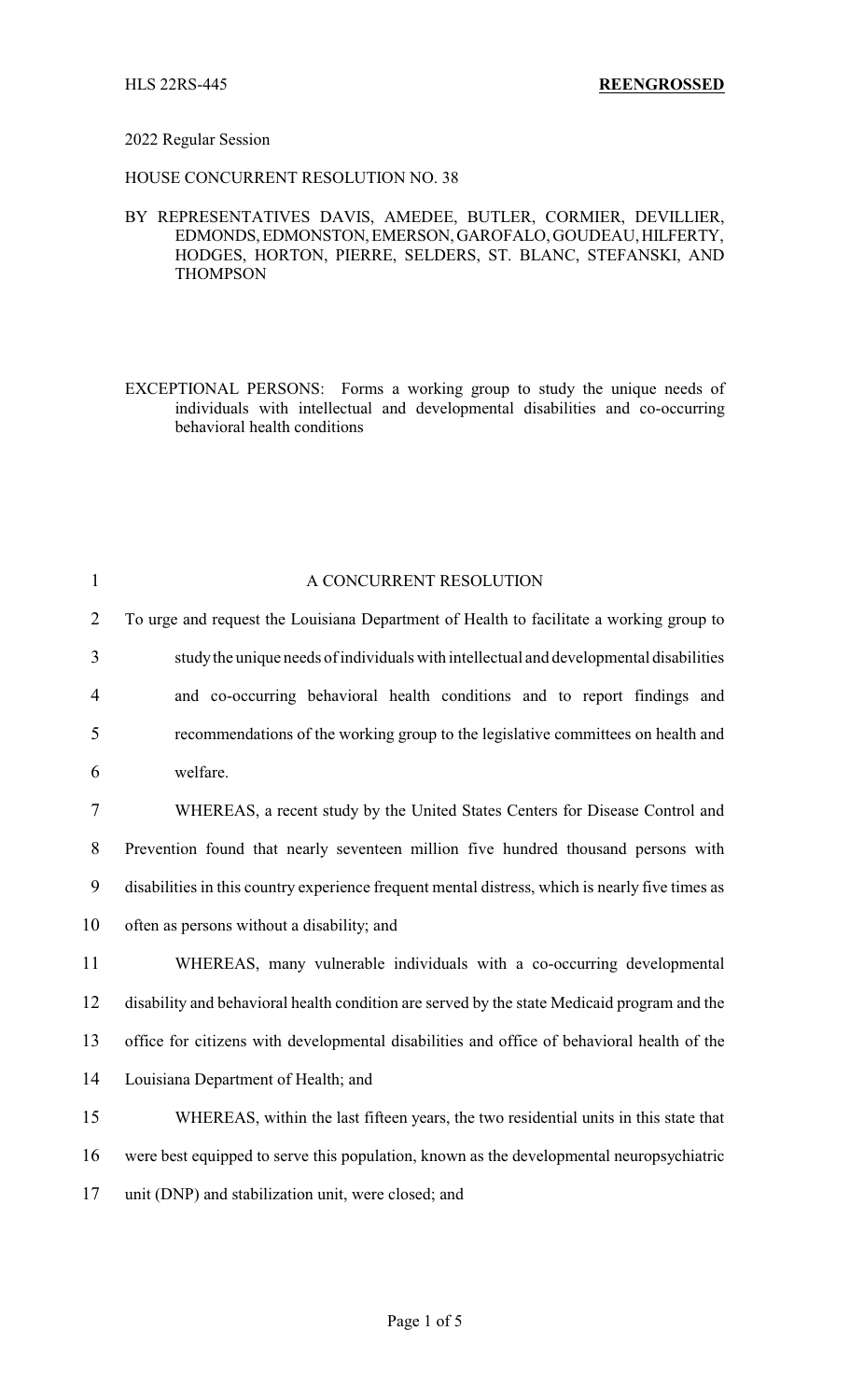### 2022 Regular Session

# HOUSE CONCURRENT RESOLUTION NO. 38

### BY REPRESENTATIVES DAVIS, AMEDEE, BUTLER, CORMIER, DEVILLIER, EDMONDS,EDMONSTON,EMERSON,GAROFALO, GOUDEAU, HILFERTY, HODGES, HORTON, PIERRE, SELDERS, ST. BLANC, STEFANSKI, AND **THOMPSON**

EXCEPTIONAL PERSONS: Forms a working group to study the unique needs of individuals with intellectual and developmental disabilities and co-occurring behavioral health conditions

| $\mathbf{1}$   | A CONCURRENT RESOLUTION                                                                         |  |  |
|----------------|-------------------------------------------------------------------------------------------------|--|--|
| $\overline{2}$ | To urge and request the Louisiana Department of Health to facilitate a working group to         |  |  |
| $\overline{3}$ | study the unique needs of individuals with intellectual and developmental disabilities          |  |  |
| $\overline{4}$ | and co-occurring behavioral health conditions and to report findings and                        |  |  |
| 5              | recommendations of the working group to the legislative committees on health and                |  |  |
| 6              | welfare.                                                                                        |  |  |
| $\tau$         | WHEREAS, a recent study by the United States Centers for Disease Control and                    |  |  |
| $8\,$          | Prevention found that nearly seventeen million five hundred thousand persons with               |  |  |
| 9              | disabilities in this country experience frequent mental distress, which is nearly five times as |  |  |
| 10             | often as persons without a disability; and                                                      |  |  |
| 11             | WHEREAS, many vulnerable individuals with a co-occurring developmental                          |  |  |
| 12             | disability and behavioral health condition are served by the state Medicaid program and the     |  |  |
| 13             | office for citizens with developmental disabilities and office of behavioral health of the      |  |  |
| 14             | Louisiana Department of Health; and                                                             |  |  |
| 15             | WHEREAS, within the last fifteen years, the two residential units in this state that            |  |  |
| 16             | were best equipped to serve this population, known as the developmental neuropsychiatric        |  |  |
| 17             | unit (DNP) and stabilization unit, were closed; and                                             |  |  |
|                |                                                                                                 |  |  |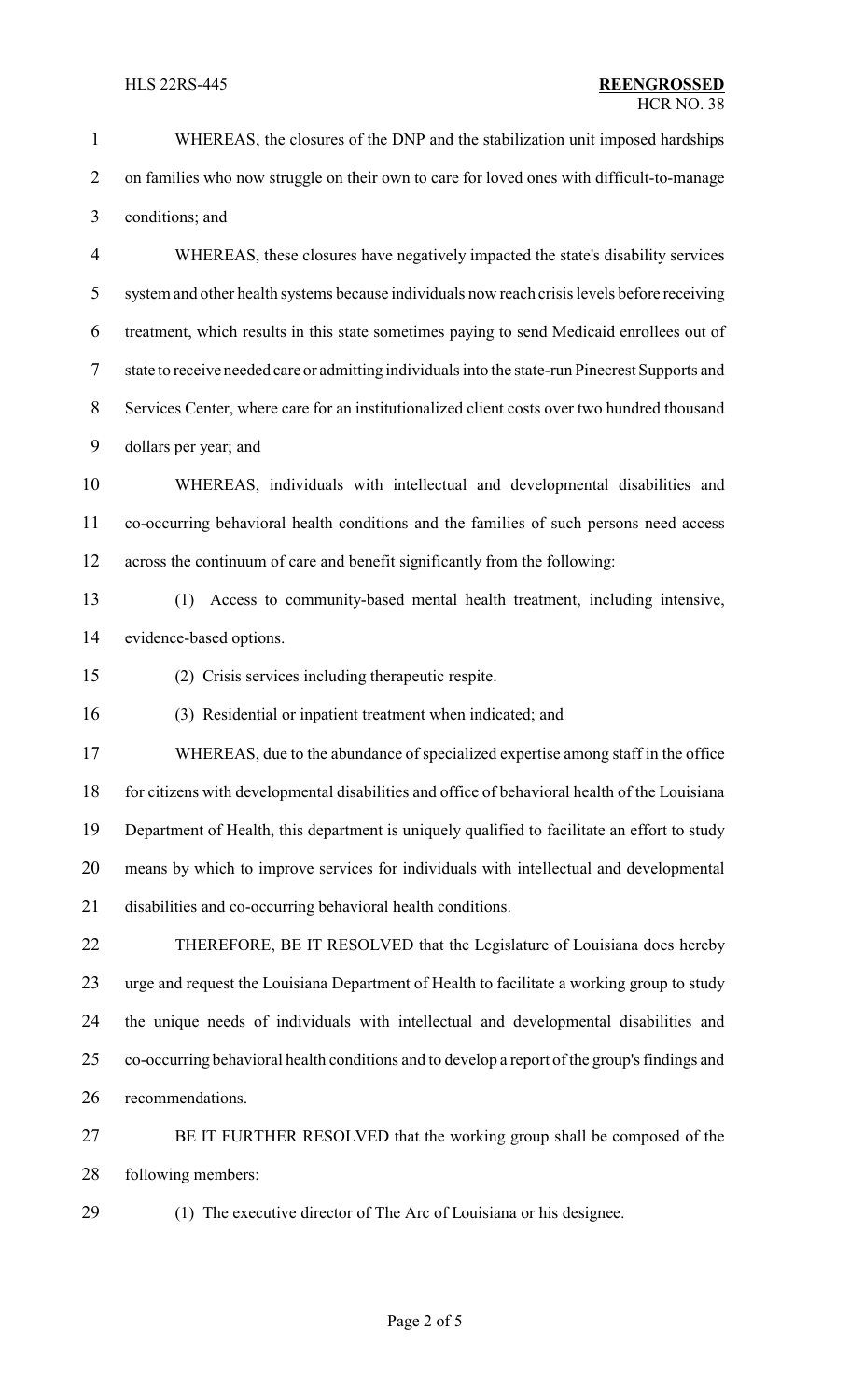WHEREAS, the closures of the DNP and the stabilization unit imposed hardships on families who now struggle on their own to care for loved ones with difficult-to-manage conditions; and WHEREAS, these closures have negatively impacted the state's disability services system and other health systems because individuals now reach crisis levels before receiving treatment, which results in this state sometimes paying to send Medicaid enrollees out of state to receive needed care or admitting individuals into the state-run Pinecrest Supports and Services Center, where care for an institutionalized client costs over two hundred thousand dollars per year; and WHEREAS, individuals with intellectual and developmental disabilities and co-occurring behavioral health conditions and the families of such persons need access across the continuum of care and benefit significantly from the following: (1) Access to community-based mental health treatment, including intensive, evidence-based options. (2) Crisis services including therapeutic respite. (3) Residential or inpatient treatment when indicated; and WHEREAS, due to the abundance of specialized expertise among staff in the office for citizens with developmental disabilities and office of behavioral health of the Louisiana Department of Health, this department is uniquely qualified to facilitate an effort to study means by which to improve services for individuals with intellectual and developmental disabilities and co-occurring behavioral health conditions. THEREFORE, BE IT RESOLVED that the Legislature of Louisiana does hereby urge and request the Louisiana Department of Health to facilitate a working group to study the unique needs of individuals with intellectual and developmental disabilities and co-occurring behavioral health conditions and to develop a report of the group's findings and recommendations. BE IT FURTHER RESOLVED that the working group shall be composed of the following members: (1) The executive director of The Arc of Louisiana or his designee.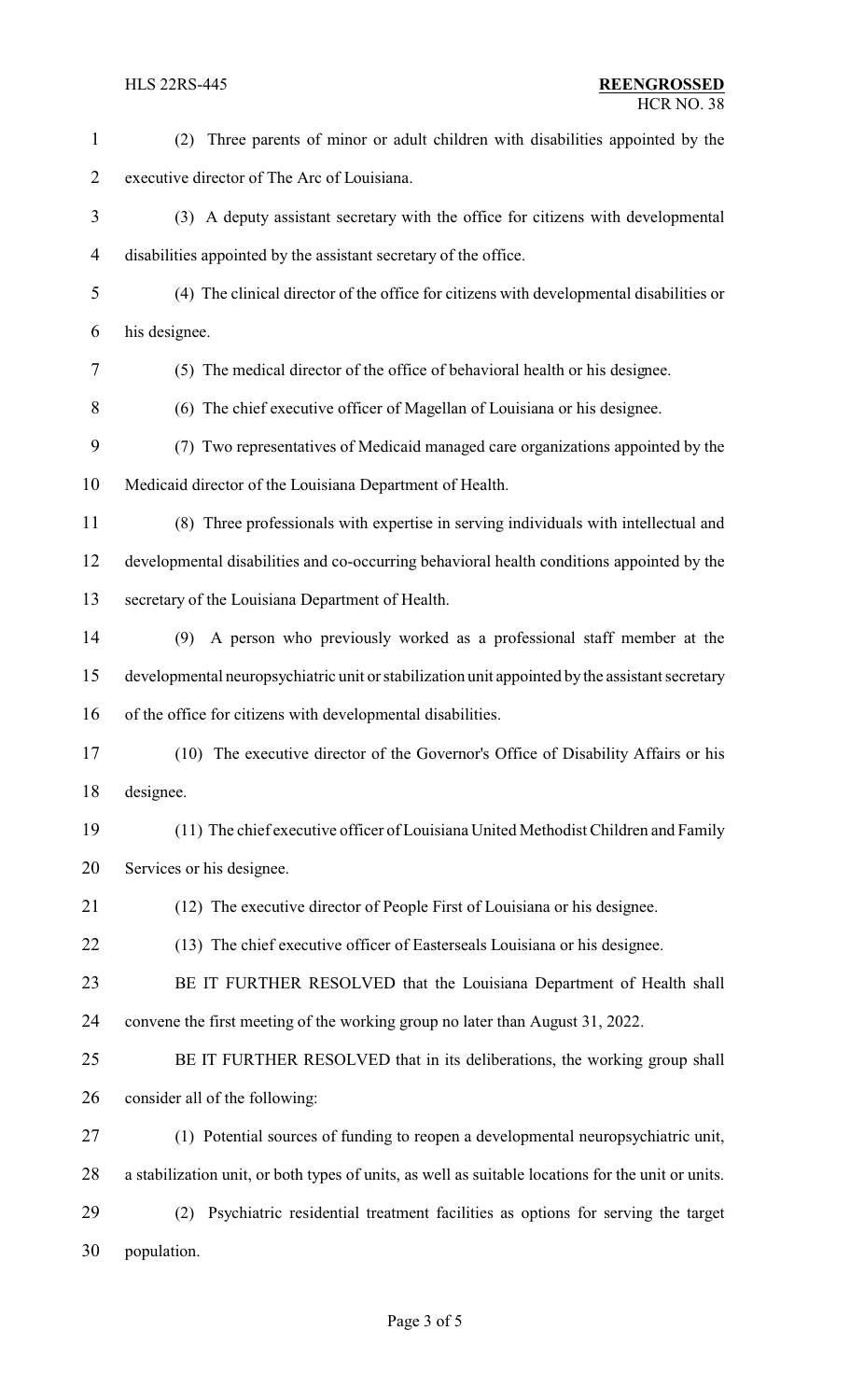| $\mathbf{1}$   | (2) Three parents of minor or adult children with disabilities appointed by the                    |
|----------------|----------------------------------------------------------------------------------------------------|
| $\overline{2}$ | executive director of The Arc of Louisiana.                                                        |
| 3              | (3) A deputy assistant secretary with the office for citizens with developmental                   |
| $\overline{4}$ | disabilities appointed by the assistant secretary of the office.                                   |
| 5              | (4) The clinical director of the office for citizens with developmental disabilities or            |
| 6              | his designee.                                                                                      |
| 7              | (5) The medical director of the office of behavioral health or his designee.                       |
| 8              | (6) The chief executive officer of Magellan of Louisiana or his designee.                          |
| 9              | (7) Two representatives of Medicaid managed care organizations appointed by the                    |
| 10             | Medicaid director of the Louisiana Department of Health.                                           |
| 11             | (8) Three professionals with expertise in serving individuals with intellectual and                |
| 12             | developmental disabilities and co-occurring behavioral health conditions appointed by the          |
| 13             | secretary of the Louisiana Department of Health.                                                   |
| 14             | A person who previously worked as a professional staff member at the<br>(9)                        |
| 15             | developmental neuropsychiatric unit or stabilization unit appointed by the assistant secretary     |
| 16             | of the office for citizens with developmental disabilities.                                        |
| 17             | (10) The executive director of the Governor's Office of Disability Affairs or his                  |
| 18             | designee.                                                                                          |
| 19             | (11) The chief executive officer of Louisiana United Methodist Children and Family                 |
| 20             | Services or his designee.                                                                          |
| 21             | (12) The executive director of People First of Louisiana or his designee.                          |
| 22             | (13) The chief executive officer of Easterseals Louisiana or his designee.                         |
| 23             | BE IT FURTHER RESOLVED that the Louisiana Department of Health shall                               |
| 24             | convene the first meeting of the working group no later than August 31, 2022.                      |
| 25             | BE IT FURTHER RESOLVED that in its deliberations, the working group shall                          |
| 26             | consider all of the following:                                                                     |
| 27             | (1) Potential sources of funding to reopen a developmental neuropsychiatric unit,                  |
| 28             | a stabilization unit, or both types of units, as well as suitable locations for the unit or units. |
|                |                                                                                                    |
| 29             | Psychiatric residential treatment facilities as options for serving the target<br>(2)              |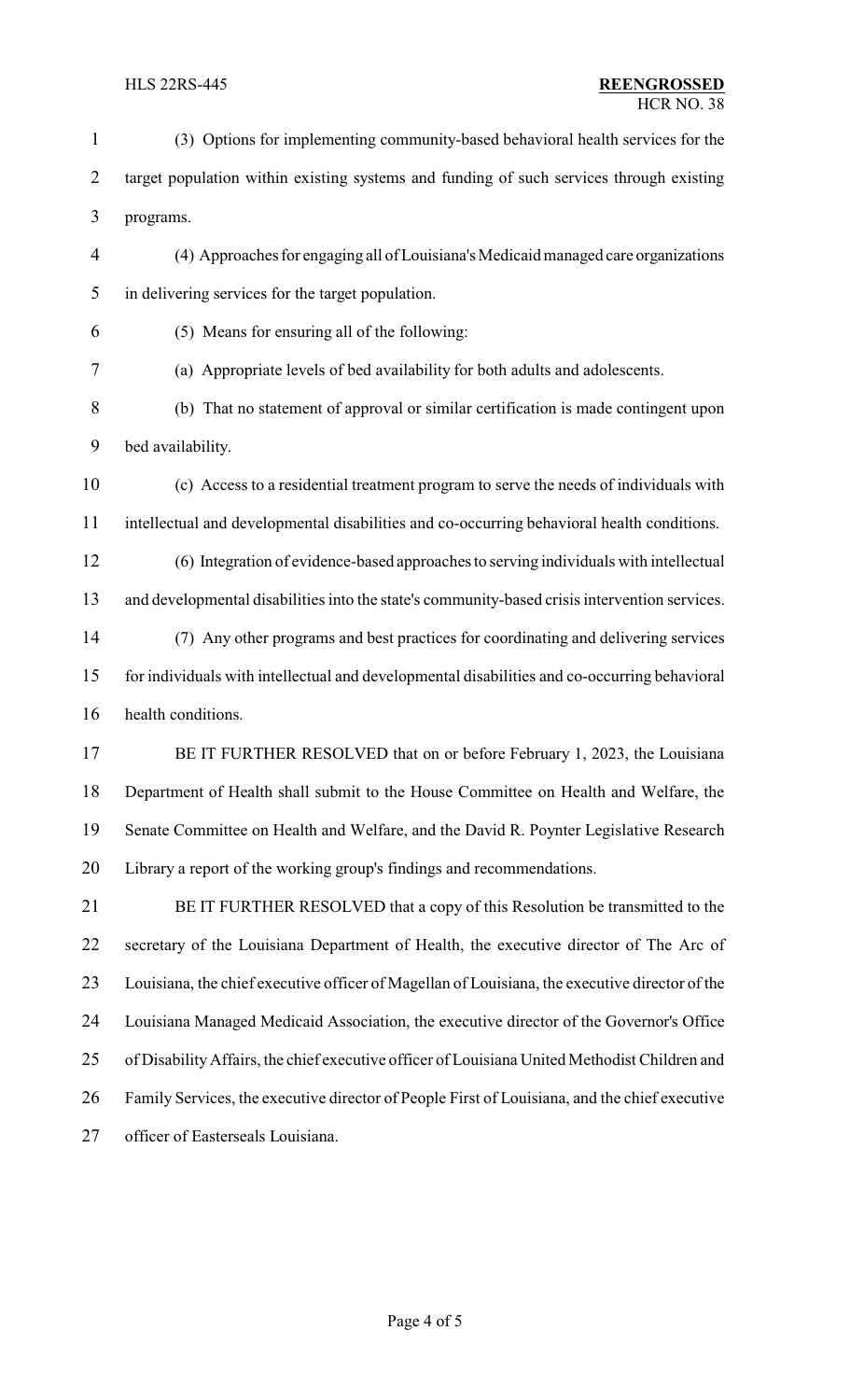| $\mathbf{1}$   | (3) Options for implementing community-based behavioral health services for the                |  |  |
|----------------|------------------------------------------------------------------------------------------------|--|--|
| $\overline{2}$ | target population within existing systems and funding of such services through existing        |  |  |
| 3              | programs.                                                                                      |  |  |
| $\overline{4}$ | (4) Approaches for engaging all of Louisiana's Medicaid managed care organizations             |  |  |
| 5              | in delivering services for the target population.                                              |  |  |
| 6              | (5) Means for ensuring all of the following:                                                   |  |  |
| 7              | (a) Appropriate levels of bed availability for both adults and adolescents.                    |  |  |
| 8              | (b) That no statement of approval or similar certification is made contingent upon             |  |  |
| 9              | bed availability.                                                                              |  |  |
| 10             | (c) Access to a residential treatment program to serve the needs of individuals with           |  |  |
| 11             | intellectual and developmental disabilities and co-occurring behavioral health conditions.     |  |  |
| 12             | (6) Integration of evidence-based approaches to serving individuals with intellectual          |  |  |
| 13             | and developmental disabilities into the state's community-based crisis intervention services.  |  |  |
| 14             | (7) Any other programs and best practices for coordinating and delivering services             |  |  |
| 15             | for individuals with intellectual and developmental disabilities and co-occurring behavioral   |  |  |
| 16             | health conditions.                                                                             |  |  |
| 17             | BE IT FURTHER RESOLVED that on or before February 1, 2023, the Louisiana                       |  |  |
| 18             | Department of Health shall submit to the House Committee on Health and Welfare, the            |  |  |
| 19             | Senate Committee on Health and Welfare, and the David R. Poynter Legislative Research          |  |  |
| 20             | Library a report of the working group's findings and recommendations.                          |  |  |
| 21             | BE IT FURTHER RESOLVED that a copy of this Resolution be transmitted to the                    |  |  |
| 22             | secretary of the Louisiana Department of Health, the executive director of The Arc of          |  |  |
| 23             | Louisiana, the chief executive officer of Magellan of Louisiana, the executive director of the |  |  |
| 24             | Louisiana Managed Medicaid Association, the executive director of the Governor's Office        |  |  |
| 25             | of Disability Affairs, the chief executive officer of Louisiana United Methodist Children and  |  |  |
| 26             | Family Services, the executive director of People First of Louisiana, and the chief executive  |  |  |
| 27             | officer of Easterseals Louisiana.                                                              |  |  |